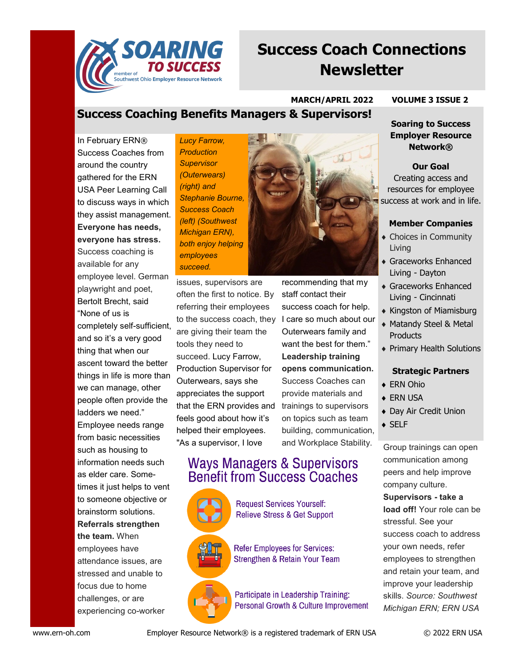

# **Success Coach Connections Newsletter**

### **MARCH/APRIL 2022 VOLUME 3 ISSUE 2**

## **Success Coaching Benefits Managers & Supervisors!**

In February ERN® Success Coaches from around the country gathered for the ERN USA Peer Learning Call to discuss ways in which they assist management. **Everyone has needs, everyone has stress.**  Success coaching is available for any employee level. German playwright and poet, Bertolt Brecht, said "None of us is completely self-sufficient, and so it's a very good thing that when our ascent toward the better things in life is more than we can manage, other people often provide the ladders we need." Employee needs range from basic necessities such as housing to information needs such as elder care. Sometimes it just helps to vent to someone objective or brainstorm solutions. *Lucy Farrow, Production Supervisor (Outerwears) (right) and Stephanie Bourne, Success Coach (left) (Southwest Michigan ERN), both enjoy helping employees succeed.* 

issues, supervisors are often the first to notice. By referring their employees to the success coach, they I care so much about our are giving their team the tools they need to succeed. Lucy Farrow, Production Supervisor for Outerwears, says she appreciates the support that the ERN provides and feels good about how it's helped their employees. "As a supervisor, I love

recommending that my staff contact their success coach for help. Outerwears family and want the best for them." **Leadership training opens communication.**  Success Coaches can provide materials and trainings to supervisors on topics such as team building, communication, and Workplace Stability.

## **Ways Managers & Supervisors Benefit from Success Coaches**

**Request Services Yourself: Relieve Stress & Get Support** 

**Refer Employees for Services: Strengthen & Retain Your Team** 

Participate in Leadership Training: Personal Growth & Culture Improvement

**Soaring to Success Employer Resource** 

**Network®**

**Our Goal** Creating access and resources for employee success at work and in life.

#### **Member Companies**

- Choices in Community Living
- Graceworks Enhanced Living - Dayton
- Graceworks Enhanced Living - Cincinnati
- Kingston of Miamisburg
- Matandy Steel & Metal **Products**
- Primary Health Solutions

#### **Strategic Partners**

- ◆ ERN Ohio
- ◆ ERN USA
- Day Air Credit Union
- ◆ SELF

Group trainings can open communication among peers and help improve company culture. **Supervisors - take a load off!** Your role can be stressful. See your success coach to address your own needs, refer employees to strengthen and retain your team, and improve your leadership skills. *Source: Southwest Michigan ERN; ERN USA*



**Referrals strengthen the team.** When employees have attendance issues, are stressed and unable to focus due to home challenges, or are experiencing co-worker

www.ern-oh.com Employer Resource Network® is a registered trademark of ERN USA © 2022 ERN USA